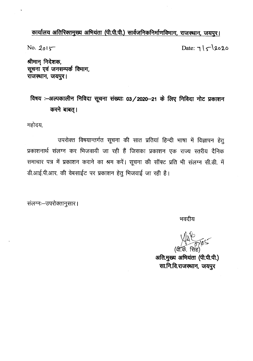### कार्यालय अतिरिक्तमुख्य अभियंता (पी.पी.पी.) सार्वजनिकनिर्माणविभाग, राजस्थान, जयपुर।

No.  $2015$ 

Date:  $7|\zeta|\$ 2020

श्रीमान् निदेशक, सूचना एवं जनसम्पर्क विभाग, राजस्थान, जयपुर।

# विषय :-अल्पकालीन निविदा सूचना संख्याः 03/2020-21 के लिए निविदा नोट प्रकाशन करने बाबत्।

महोदय,

उपरोक्त विषयान्तर्गत सूचना की सात प्रतियां हिन्दी भाषा में विज्ञापन हेतु प्रकाशनार्थ संलग्न कर भिजवायी जा रही हैं जिसका प्रकाशन एक राज्य स्तरीय दैनिक समाचार पत्र में प्रकाशन कराने का श्रम करें। सूचना की सॉफ्ट प्रति भी संलग्न सी.डी. में डी.आई.पी.आर. की वेबसाईट पर प्रकाशन हेतु भिजवाई जा रही है।

संलग्नः-उपरोक्तानुसार।

भवदीय

(वी.के. सिंह

अति.मुख्य अभियंता (पी.पी.पी.) सा.नि.वि.राजस्थान, जयपुर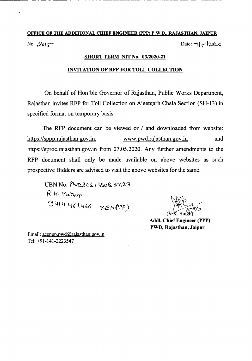# OFFICE OF THE ADDITIONAL CHIEF ENGINEER (PPP) P.W.D., RAJASTHAN, JAIPUR No. 2015 Date:  $7|c|2020$

------ - .\_-------- ------ -

#### SHORT TERM NIT No. *03/2020-21*

#### INVITATION OF RFP FOR TOLL COLLECTION

On behalf of Hon'ble Governor of Rajasthan, Public Works Department, Rajasthan invites RFP for Toll Collection on Ajeetgarh Chala Section (SH-13) in specified format on temporary basis.

The RFP document can be viewed or *I* and downloaded from website: https://sppp.rajasthan.gov.in, www.pwd.rajasthan.gov.in and https://eproc.rajasthan.gov.in from 07.05.2020. Any further amendments to the RFP document shall only be made available on above websites as such prospective Bidders are advised to visit the above websites for the same.

 $UBN$  No:  $PUD2021$ SSOB 00127  $R \cdot k \cdot$  Mathur  $3414461466$  *xEHEPP*)

Addl. Chief Engineer (PPP) PWD, Rajasthan, Jaipur

Email: aceppp.pwd@rajasthan.gov.in Tel: +91-141-2223547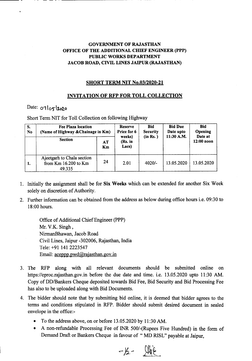### GOVERNMENT OF RAJASTHAN OFFICE OF THE ADDITIONAL CHIEF ENGINEER (PPP) PUBLIC WORKS DEPARTMENT JACOB ROAD, CIVIL LINES JAIPUR (RAJASTHAN)

#### SHORT TERM NIT No.03/2020-21

### INVITATION OF RFP FOR TOLL COLLECTION

## Date: 07/05/2020

. - - - - . ----------

Short Term NIT for Toll Collection on following Highway

| S.<br>N <sub>0</sub> | <b>Fee Plaza location</b><br>(Name of Highway & Chainage in Km) |          | Reserve<br>Price for 6<br>weeks) | <b>Bid</b><br><b>Security</b><br>(in Rs.) | <b>Bid Due</b><br>Date upto<br>11:30 A.M. | <b>Bid</b><br>Opening<br>Date at |
|----------------------|-----------------------------------------------------------------|----------|----------------------------------|-------------------------------------------|-------------------------------------------|----------------------------------|
|                      | <b>Section</b>                                                  | AT<br>Km | (Rs. in<br>Lacs)                 |                                           |                                           | $12:00$ noon                     |
| 1.                   | Ajectgarh to Chala section<br>from Km 16.200 to Km<br>49.335    | 24       | 2.01                             | $4020/-$                                  | 13.05.2020                                | 13.05.2020                       |

- 1. Initially the assignment shall be for Six Weeks which can be extended for another Six Week solely on discretion of Authority.
- 2. Further information can be obtained from the address as below during office hours i.e. 09:30 to 18:00 hours.

Office of Additional Chief Engineer (PPP) Mr. V.K. Singh , NirmanBhawan, Jacob Road Civil Lines, Jaipur -302006, Rajasthan, India Tele: +91 141 2223547 Email: aceppp.pwd@rajasthan.gov.in

- 3. The RFP along with all relevant documents should be submitted online on https://eproc.rajasthan.gov.in before the due date and time. i.e. 13.05.2020 upto 11:30 AM. Copy of DD/Bankers Cheque deposited towards Bid Fee, Bid Security and Bid Processing Fee has also to be uploaded along with Bid Documents.
- 4. The bidder should note that by submitting bid online, it is deemed that bidder agrees to the terms and conditions stipulated in RFP. Bidder should submit desired document in sealed envelope in the office:-
	- To the address above, on or before 13.05.2020 by 11:30 AM.
	- A non-refundable Processing Fee of INR *5001-(Rupees* Five Hundred) in the form of Demand Draft or Bankers Cheque in favour of " MD RISL" payable at Jaipur,

 $-15 - 1166$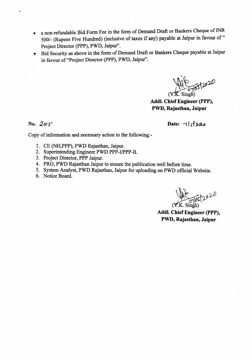- a non-refundable Bid Form Fee in the form of Demand Draft or Bankers Cheque of INR 500/- (Rupees Five Hundred) (inclusive of taxes if any) payable at Jaipur in favour of" Project Director (PPP), PWD, Jaipur".
- Bid Security as above in the form of Demand Draft or Bankers Cheque payable at Jaipur in favour of "Project Director (PPP), PWD, Jaipur".

 $\frac{14}{\sqrt{67}}\frac{105}{22}$ 

Addl. Chief Engineer (PPP), PWD, Rajasthan, Jaipur

No. 2015

Copy of information and necessary action to the following:-

- 1. CE (NH,PPP), PWD Rajasthan, Jaipur.
- 2. Superintending Engineer PWD PPP-I/PPP-II.
- 3. Project Director, PPP Jaipur.
- 4. PRO, PWD Rajasthan Jaipur to ensure the publication well before time.
- 5. System Analyst, PWD Rajasthan, Jaipur for uploading on PWD official Website.
- 6. Notice Board.

oct2020

Addl. Chief Engineer (PPP), PWD, Rajasthan, Jaipur